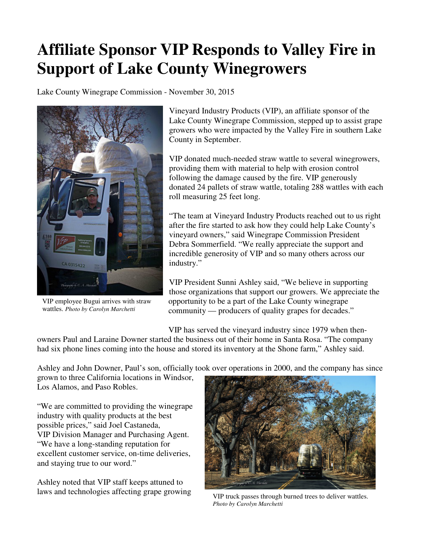## **Affiliate Sponsor VIP Responds to Valley Fire in Support of Lake County Winegrowers**

Lake County Winegrape Commission - November 30, 2015



VIP employee Bugui arrives with straw wattles. *Photo by Carolyn Marchetti*

Vineyard Industry Products (VIP), an affiliate sponsor of the Lake County Winegrape Commission, stepped up to assist grape growers who were impacted by the Valley Fire in southern Lake County in September.

VIP donated much-needed straw wattle to several winegrowers, providing them with material to help with erosion control following the damage caused by the fire. VIP generously donated 24 pallets of straw wattle, totaling 288 wattles with each roll measuring 25 feet long.

"The team at Vineyard Industry Products reached out to us right after the fire started to ask how they could help Lake County's vineyard owners," said Winegrape Commission President Debra Sommerfield. "We really appreciate the support and incredible generosity of VIP and so many others across our industry."

VIP President Sunni Ashley said, "We believe in supporting those organizations that support our growers. We appreciate the opportunity to be a part of the Lake County winegrape community — producers of quality grapes for decades."

VIP has served the vineyard industry since 1979 when then-

owners Paul and Laraine Downer started the business out of their home in Santa Rosa. "The company had six phone lines coming into the house and stored its inventory at the Shone farm," Ashley said.

Ashley and John Downer, Paul's son, officially took over operations in 2000, and the company has since

grown to three California locations in Windsor, Los Alamos, and Paso Robles.

"We are committed to providing the winegrape industry with quality products at the best possible prices," said Joel Castaneda, VIP Division Manager and Purchasing Agent. "We have a long-standing reputation for excellent customer service, on-time deliveries, and staying true to our word."

Ashley noted that VIP staff keeps attuned to laws and technologies affecting grape growing



VIP truck passes through burned trees to deliver wattles. *Photo by Carolyn Marchetti*